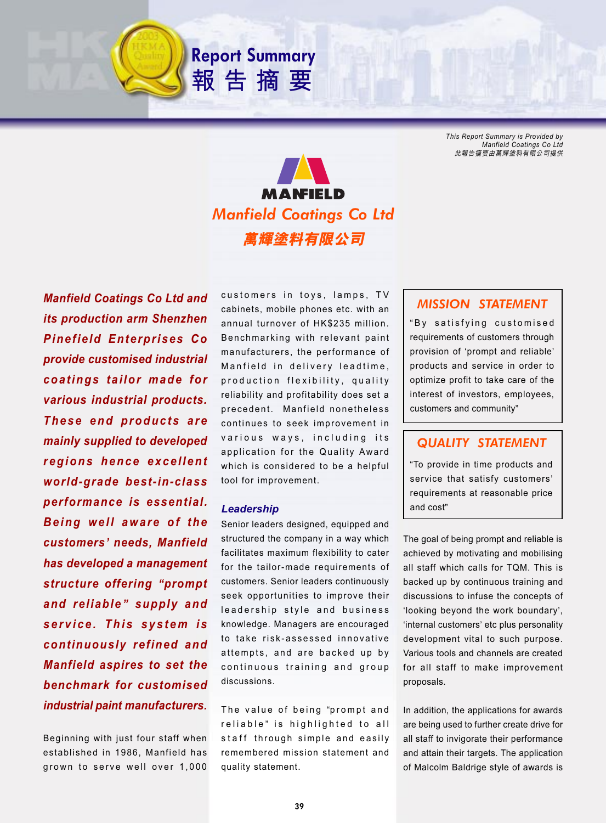*This Report Summary is Provided by Manfield Coatings Co Ltd* 此報告摘要由萬輝塗料有限公司提供



**Report Summary**

報告摘要

*Manfield Coatings Co Ltd and its production arm Shenzhen Pinefield Enterprises Co provide customised industrial coatings tailor made for various industrial products. These end products are mainly supplied to developed regions hence excellent world-grade best-in-class performance is essential. Being well aware of the customers***'** *needs, Manfield has developed a management structure offering* **"***prompt and reliable***"** *supply and service. This system is continuously refined and Manfield aspires to set the benchmark for customised industrial paint manufacturers.*

Beginning with just four staff when established in 1986, Manfield has grown to serve well over 1,000

customers in toys, lamps, TV cabinets, mobile phones etc. with an annual turnover of HK\$235 million. Benchmarking with relevant paint manufacturers, the performance of Manfield in delivery leadtime, production flexibility, quality reliability and profitability does set a precedent. Manfield nonetheless continues to seek improvement in various ways, including its application for the Quality Award which is considered to be a helpful tool for improvement.

#### *Leadership*

Senior leaders designed, equipped and structured the company in a way which facilitates maximum flexibility to cater for the tailor-made requirements of customers. Senior leaders continuously seek opportunities to improve their leadership style and business knowledge. Managers are encouraged to take risk-assessed innovative attempts, and are backed up by continuous training and group discussions.

The value of being "prompt and reliable" is highlighted to all staff through simple and easily remembered mission statement and quality statement.

# *MISSION STATEMENT*

" By satisfying customised requirements of customers through provision of 'prompt and reliable' products and service in order to optimize profit to take care of the interest of investors, employees, customers and community"

## *QUALITY STATEMENT*

"To provide in time products and service that satisfy customers' requirements at reasonable price and cost"

The goal of being prompt and reliable is achieved by motivating and mobilising all staff which calls for TQM. This is backed up by continuous training and discussions to infuse the concepts of 'looking beyond the work boundary', 'internal customers' etc plus personality development vital to such purpose. Various tools and channels are created for all staff to make improvement proposals.

In addition, the applications for awards are being used to further create drive for all staff to invigorate their performance and attain their targets. The application of Malcolm Baldrige style of awards is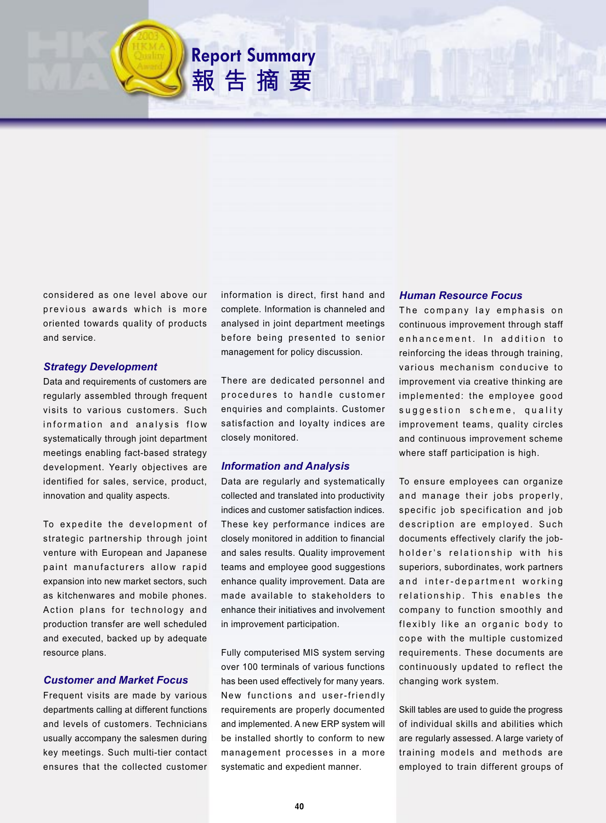considered as one level above our previous awards which is more oriented towards quality of products and service.

### *Strategy Development*

Data and requirements of customers are regularly assembled through frequent visits to various customers. Such information and analysis flow systematically through joint department meetings enabling fact-based strategy development. Yearly objectives are identified for sales, service, product, innovation and quality aspects.

To expedite the development of strategic partnership through joint venture with European and Japanese paint manufacturers allow rapid expansion into new market sectors, such as kitchenwares and mobile phones. Action plans for technology and production transfer are well scheduled and executed, backed up by adequate resource plans.

## *Customer and Market Focus*

Frequent visits are made by various departments calling at different functions and levels of customers. Technicians usually accompany the salesmen during key meetings. Such multi-tier contact ensures that the collected customer

information is direct, first hand and complete. Information is channeled and analysed in joint department meetings before being presented to senior management for policy discussion.

**Report Summary**

報告摘要

There are dedicated personnel and procedures to handle customer enquiries and complaints. Customer satisfaction and loyalty indices are closely monitored.

### *Information and Analysis*

Data are regularly and systematically collected and translated into productivity indices and customer satisfaction indices. These key performance indices are closely monitored in addition to financial and sales results. Quality improvement teams and employee good suggestions enhance quality improvement. Data are made available to stakeholders to enhance their initiatives and involvement in improvement participation.

Fully computerised MIS system serving over 100 terminals of various functions has been used effectively for many years. New functions and user-friendly requirements are properly documented and implemented. A new ERP system will be installed shortly to conform to new management processes in a more systematic and expedient manner.

#### *Human Resource Focus*

The company lay emphasis on continuous improvement through staff enhancement. In addition to reinforcing the ideas through training, various mechanism conducive to improvement via creative thinking are implemented: the employee good suggestion scheme, quality improvement teams, quality circles and continuous improvement scheme where staff participation is high.

To ensure employees can organize and manage their jobs properly, specific job specification and job description are employed. Such documents effectively clarify the jobholder's relationship with his superiors, subordinates, work partners and inter-department working relationship. This enables the company to function smoothly and flexibly like an organic body to cope with the multiple customized requirements. These documents are continuously updated to reflect the changing work system.

Skill tables are used to guide the progress of individual skills and abilities which are regularly assessed. A large variety of training models and methods are employed to train different groups of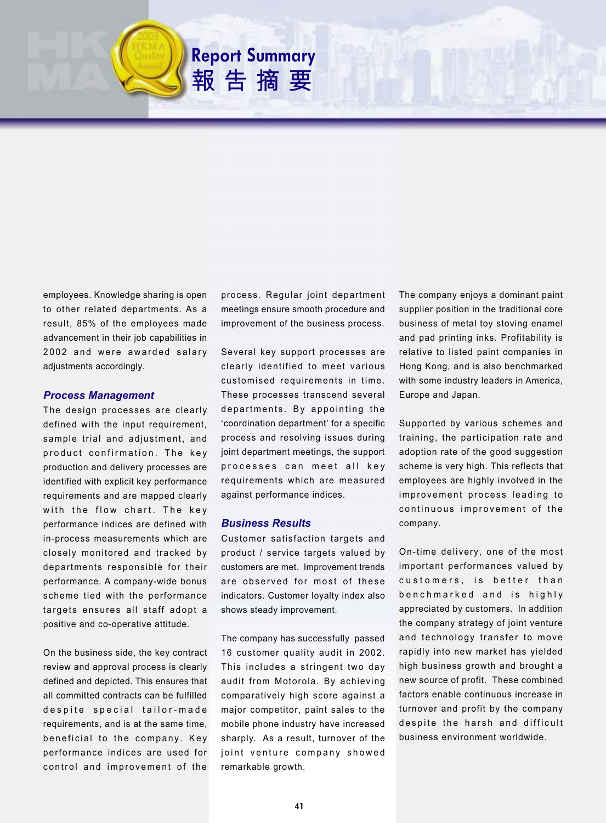employees. Knowledge sharing is open to other related departments. As a result, 85% of the employees made advancement in their job capabilities in 2002 and were awarded salary adjustments accordingly.

### *Process Management*

The design processes are clearly defined with the input requirement, sample trial and adjustment, and product confirmation. The key production and delivery processes are identified with explicit key performance requirements and are mapped clearly with the flow chart. The key performance indices are defined with in-process measurements which are closely monitored and tracked by departments responsible for their performance. A company-wide bonus scheme tied with the performance targets ensures all staff adopt a positive and co-operative attitude.

On the business side, the key contract review and approval process is clearly defined and depicted. This ensures that all committed contracts can be fulfilled despite special tailor-made requirements, and is at the same time, beneficial to the company. Key performance indices are used for control and improvement of the

process. Regular joint department meetings ensure smooth procedure and improvement of the business process.

**Report Summary**

報告摘要

Several key support processes are clearly identified to meet various customised requirements in time. These processes transcend several departments. By appointing the 'coordination department' for a specific process and resolving issues during joint department meetings, the support processes can meet all key requirements which are measured against performance indices.

### *Business Results*

Customer satisfaction targets and product / service targets valued by customers are met. Improvement trends are observed for most of these indicators. Customer loyalty index also shows steady improvement.

The company has successfully passed 16 customer quality audit in 2002. This includes a stringent two day audit from Motorola. By achieving comparatively high score against a major competitor, paint sales to the mobile phone industry have increased sharply. As a result, turnover of the joint venture company showed remarkable growth.

The company enjoys a dominant paint supplier position in the traditional core business of metal toy stoving enamel and pad printing inks. Profitability is relative to listed paint companies in Hong Kong, and is also benchmarked with some industry leaders in America, Europe and Japan.

Supported by various schemes and training, the participation rate and adoption rate of the good suggestion scheme is very high. This reflects that employees are highly involved in the improvement process leading to continuous improvement of the company.

On-time delivery, one of the most important performances valued by customers, is better than benchmarked and is highly appreciated by customers. In addition the company strategy of joint venture and technology transfer to move rapidly into new market has yielded high business growth and brought a new source of profit. These combined factors enable continuous increase in turnover and profit by the company despite the harsh and difficult business environment worldwide.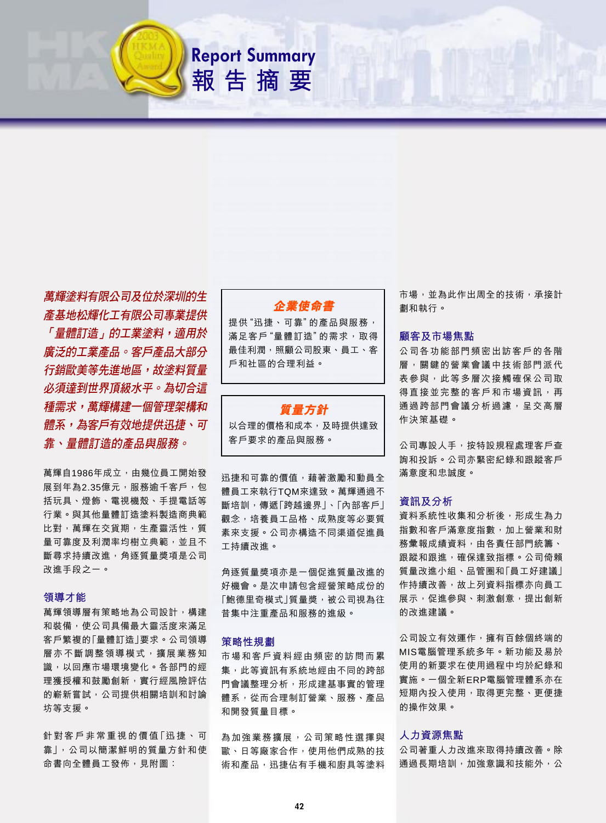萬輝塗料有限公司及位於深圳的生 產基地松輝化工有限公司專業提供 「量體訂浩」的工業塗料,滴用於 **廣泛的工業產品。客戶產品大部分 行銷歐美等先淮地區,故塗料質量** 必須達到世界頂級水平。為切合這 種需求,萬輝構建一個管理架構和 *體系,為客戶有效地提供迅捷、可* 靠、量體訂造的產品與服務。

萬輝自1986年成立,由幾位員工開始發 展到年為2.35億元,服務逾千客戶,包 括玩具、燈飾、電視機殼、手提電話等 行業。與其他量體訂造塗料製造商典範 比對, 萬輝在交貨期, 生產靈活性, 質 量可靠度及利潤率均樹立典範,並且不 斷尋求持續改進,角逐質量獎項是公司 改進手段之一。

### 領導才能

萬輝領導層有策略地為公司設計, 構建 和裝備, 使公司具備最大靈活度來滿足 客戶繁複的「量體訂造|要求。公司領導 層亦不斷調整領導模式,擴展業務知 識,以回應市場環境變化。各部門的經 理獲授權和鼓勵創新,實行經風險評估 的嶄新嘗試, 公司提供相關培訓和討論 坊等支援。

針對客戶非常重視的價值「迅捷、可 靠」,公司以簡潔鮮明的質量方針和使 命書向全體員工發佈,見附圖:

## 企業使命書

**Report Summary** 

報告摘要

提供"迅捷、可靠"的產品與服務, 滿足客戶"量體訂造"的需求, 取得 最佳利潤,照顧公司股東、員工、客 戶和社區的合理利益。

## 暂量方針

以合理的價格和成本, 及時提供達致 客戶要求的產品與服務。

讯捷和可靠的價值,藉著激勵和動員全 體員工來執行TOM來達致。萬輝通過不 斷培訓,傳遞「跨越邊界」、「內部客戶」 觀念,培養員工品格、成熟度等必要質 素來支援。公司亦構造不同渠道促進員 工持續改進。

角逐質量獎項亦是一個促進質量改進的 好機會。是次申請包含經營策略成份的 「鮑德里奇模式」質量獎,被公司視為往 昔集中注重產品和服務的進級。

#### 策略性規劃

市場和客戶資料經由頻密的訪問而累 集, 此等資訊有系統地經由不同的跨部 門會議整理分析, 形成建基事實的管理 體系,從而合理制訂營業、服務、產品 和開發質量目標。

為 加 強 業 務 擴 展 , 公 司 策 略 性 選 擇 與 歐、日等廠家合作,使用他們成熟的技 術和產品,迅捷佔有手機和廚具等塗料

市場,並為此作出周全的技術,承接計 劃和執行。

#### 顧客及市場焦點

公司各功能部門頻密出訪客戶的各階 層,關鍵的營業會議中技術部門派代 表參與,此等多層次接觸確保公司取 得直接並完整的客戶和市場資訊,再 通過跨部門會議分析過濾,呈交高層 作決策基礎。

公司專設人手, 按特設規程處理客戶查 詢和投訴。公司亦緊密紀錄和跟蹤客戶 滿意度和忠誠度。

## 資訊及分析

資料系統性收集和分析後,形成生為力 指數和客戶滿意度指數,加上營業和財 務彙報成績資料,由各責任部門統籌、 跟蹤和跟進,確保達致指標。公司倚賴 質量改進小組、品管圈和「員工好建議」 作持續改善,故上列資料指標亦向員工 展示,促進參與、刺激創意,提出創新 的改進建議。

公司設立有效運作,擁有百餘個終端的 MIS電腦管理系統多年。新功能及易於 使用的新要求在使用過程中均於紀錄和 實施。一個全新ERP電腦管理體系亦在 短期內投入使用,取得更完整、更便捷 的操作效果。

#### 人力資源焦點

公司著重人力改進來取得持續改善。除 通過長期培訓,加強意識和技能外,公